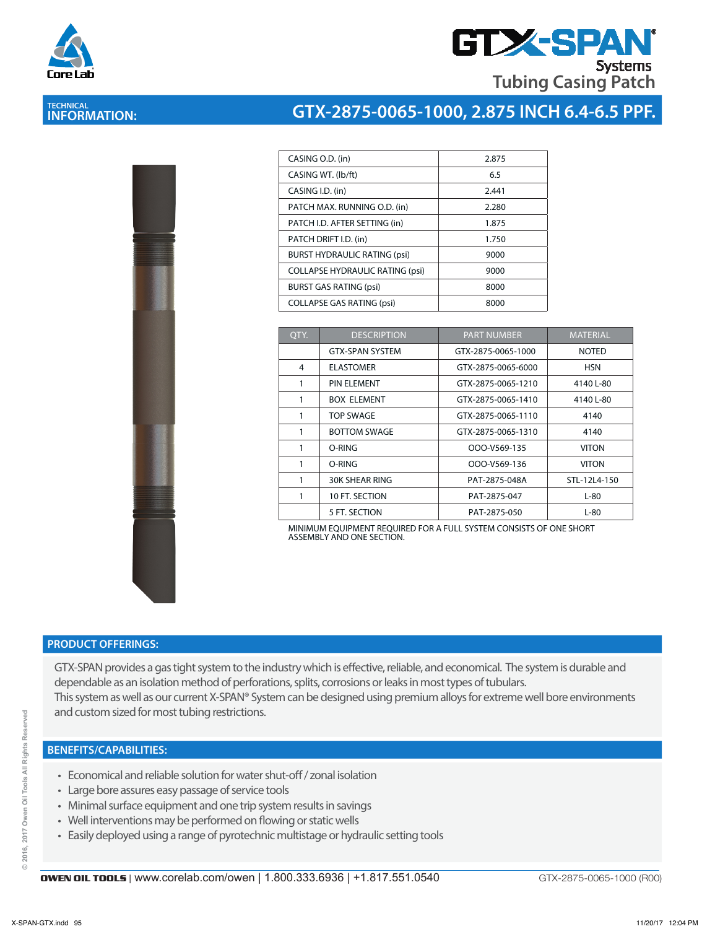

## **GTX-SPA Systems Tubing Casing Patch**

## **TECHNICAL INFORMATION:**

# **GTX-2875-0065-1000, 2.875 INCH 6.4-6.5 PPF.**

| CASING O.D. (in)                       | 2.875 |
|----------------------------------------|-------|
| CASING WT. (lb/ft)                     | 6.5   |
| CASING I.D. (in)                       | 2.441 |
| PATCH MAX. RUNNING O.D. (in)           | 2.280 |
| PATCH I.D. AFTER SETTING (in)          | 1.875 |
| PATCH DRIFT I.D. (in)                  | 1.750 |
| <b>BURST HYDRAULIC RATING (psi)</b>    | 9000  |
| <b>COLLAPSE HYDRAULIC RATING (psi)</b> | 9000  |
| <b>BURST GAS RATING (psi)</b>          | 8000  |
| <b>COLLAPSE GAS RATING (psi)</b>       | 8000  |
|                                        |       |

| QTY. | <b>DESCRIPTION</b>     | <b>PART NUMBER</b> | <b>MATERIAL</b> |
|------|------------------------|--------------------|-----------------|
|      | <b>GTX-SPAN SYSTEM</b> | GTX-2875-0065-1000 | <b>NOTED</b>    |
| 4    | <b>ELASTOMER</b>       | GTX-2875-0065-6000 | <b>HSN</b>      |
| 1    | PIN ELEMENT            | GTX-2875-0065-1210 | 4140 L-80       |
| 1    | <b>BOX ELEMENT</b>     | GTX-2875-0065-1410 | 4140 L-80       |
| 1    | <b>TOP SWAGE</b>       | GTX-2875-0065-1110 | 4140            |
| 1    | <b>BOTTOM SWAGE</b>    | GTX-2875-0065-1310 | 4140            |
| 1    | O-RING                 | OOO-V569-135       | <b>VITON</b>    |
| 1    | O-RING                 | OOO-V569-136       | <b>VITON</b>    |
| 1    | <b>30K SHEAR RING</b>  | PAT-2875-048A      | STL-12L4-150    |
| 1    | 10 FT. SECTION         | PAT-2875-047       | $L-80$          |
|      | 5 FT. SECTION          | PAT-2875-050       | L-80            |

MINIMUM EQUIPMENT REQUIRED FOR A FULL SYSTEM CONSISTS OF ONE SHORT ASSEMBLY AND ONE SECTION.

#### **PRODUCT OFFERINGS:**

GTX-SPAN provides a gas tight system to the industry which is effective, reliable, and economical. The system is durable and dependable as an isolation method of perforations, splits, corrosions or leaks in most types of tubulars. This system as well as our current X-SPAN® System can be designed using premium alloys for extreme well bore environments and custom sized for most tubing restrictions.

#### **BENEFITS/CAPABILITIES:**

- Economical and reliable solution for water shut-off / zonal isolation
- Large bore assures easy passage of service tools
- Minimal surface equipment and one trip system results in savings
- Well interventions may be performed on flowing or static wells
- Easily deployed using a range of pyrotechnic multistage or hydraulic setting tools

GTX-2875-0065-1000 (R00)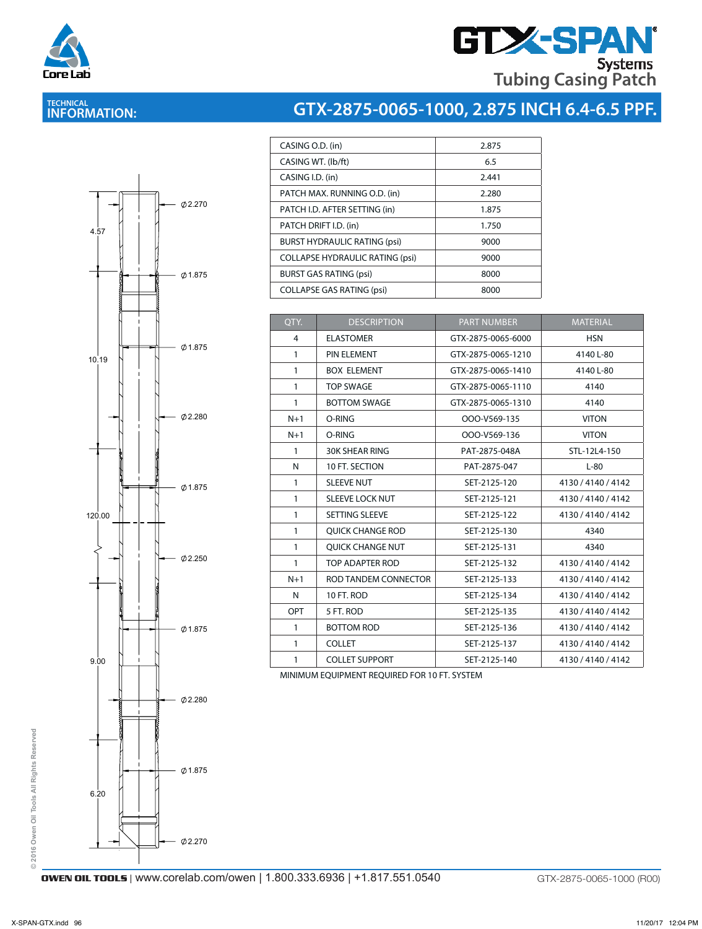

# **GTX-SPAN Tubing Casing Patch**

## **TECHNICAL INFORMATION:**

# **GTX-2875-0065-1000, 2.875 INCH 6.4-6.5 PPF.**

|        |                                       | Ø2.270              |  |
|--------|---------------------------------------|---------------------|--|
| 4.57   |                                       |                     |  |
|        |                                       |                     |  |
|        |                                       |                     |  |
|        |                                       | $\varphi$ 1.875     |  |
|        | COMMANDAN<br><b>MANWAWAWA COLL</b>    |                     |  |
|        |                                       |                     |  |
|        |                                       |                     |  |
|        |                                       |                     |  |
| 10.19  |                                       | Ø 1.875             |  |
|        |                                       |                     |  |
|        |                                       |                     |  |
|        |                                       |                     |  |
|        |                                       | 02.280              |  |
|        |                                       |                     |  |
|        |                                       |                     |  |
|        |                                       |                     |  |
|        | Ï                                     | $\varnothing$ 1.875 |  |
|        |                                       |                     |  |
| 120.00 |                                       |                     |  |
|        |                                       |                     |  |
|        |                                       |                     |  |
|        |                                       | $\emptyset$ 2.250   |  |
|        |                                       |                     |  |
|        |                                       |                     |  |
|        |                                       |                     |  |
|        |                                       | $\varphi$ 1.875     |  |
|        |                                       |                     |  |
| 9.00   |                                       |                     |  |
|        |                                       |                     |  |
|        |                                       |                     |  |
|        | $\mathbf{I}$                          | Ø2.280              |  |
|        | Communication<br><b>CONVINIVATION</b> |                     |  |
|        |                                       |                     |  |
|        |                                       |                     |  |
|        |                                       | $\varnothing$ 1.875 |  |
|        |                                       |                     |  |
| 6.20   |                                       |                     |  |

| 2.875 |
|-------|
| 6.5   |
| 2.441 |
| 2.280 |
| 1.875 |
| 1.750 |
| 9000  |
| 9000  |
| 8000  |
| 8000  |
|       |

| QTY.         | <b>DESCRIPTION</b>      | <b>PART NUMBER</b> | <b>MATERIAL</b>    |
|--------------|-------------------------|--------------------|--------------------|
| 4            | <b>ELASTOMER</b>        | GTX-2875-0065-6000 | <b>HSN</b>         |
| $\mathbf{1}$ | PIN ELEMENT             | GTX-2875-0065-1210 | 4140 L-80          |
| $\mathbf{1}$ | <b>BOX ELEMENT</b>      | GTX-2875-0065-1410 | 4140 L-80          |
| $\mathbf{1}$ | <b>TOP SWAGE</b>        | GTX-2875-0065-1110 | 4140               |
| $\mathbf{1}$ | <b>BOTTOM SWAGE</b>     | GTX-2875-0065-1310 | 4140               |
| $N+1$        | O-RING                  | OOO-V569-135       | <b>VITON</b>       |
| $N+1$        | O-RING                  | OOO-V569-136       | <b>VITON</b>       |
| $\mathbf{1}$ | <b>30K SHEAR RING</b>   | PAT-2875-048A      | STL-12L4-150       |
| N            | 10 FT. SECTION          | PAT-2875-047       | $L-80$             |
| $\mathbf{1}$ | <b>SLEEVE NUT</b>       | SET-2125-120       | 4130 / 4140 / 4142 |
| $\mathbf{1}$ | <b>SLEEVE LOCK NUT</b>  | SET-2125-121       | 4130 / 4140 / 4142 |
| $\mathbf{1}$ | SETTING SLEEVE          | SET-2125-122       | 4130 / 4140 / 4142 |
| $\mathbf{1}$ | <b>OUICK CHANGE ROD</b> | SET-2125-130       | 4340               |
| $\mathbf{1}$ | <b>OUICK CHANGE NUT</b> | SET-2125-131       | 4340               |
| $\mathbf{1}$ | TOP ADAPTER ROD         | SET-2125-132       | 4130 / 4140 / 4142 |
| $N+1$        | ROD TANDEM CONNECTOR    | SET-2125-133       | 4130 / 4140 / 4142 |
| N            | 10 FT. ROD              | SET-2125-134       | 4130 / 4140 / 4142 |
| <b>OPT</b>   | 5 FT. ROD               | SET-2125-135       | 4130 / 4140 / 4142 |
| 1            | <b>BOTTOM ROD</b>       | SET-2125-136       | 4130 / 4140 / 4142 |
| 1            | <b>COLLET</b>           | SET-2125-137       | 4130 / 4140 / 4142 |
| 1            | <b>COLLET SUPPORT</b>   | SET-2125-140       | 4130 / 4140 / 4142 |

MINIMUM EQUIPMENT REQUIRED FOR 10 FT. SYSTEM MINIMUM EQUIPMENT REQUIRED FOR 10 FT. SYSTEM

**OWEN OIL TOOLS** | www.corelab.com/owen | 1.800.333.6936 | +1.817.551.0540 GTX-2875-0065-1000 (R00)

 $02.270$ 

**© 2016 Owen Oil Tools All Rights Reserved**

© 2016 Owen Oil Tools All Rights Reserved